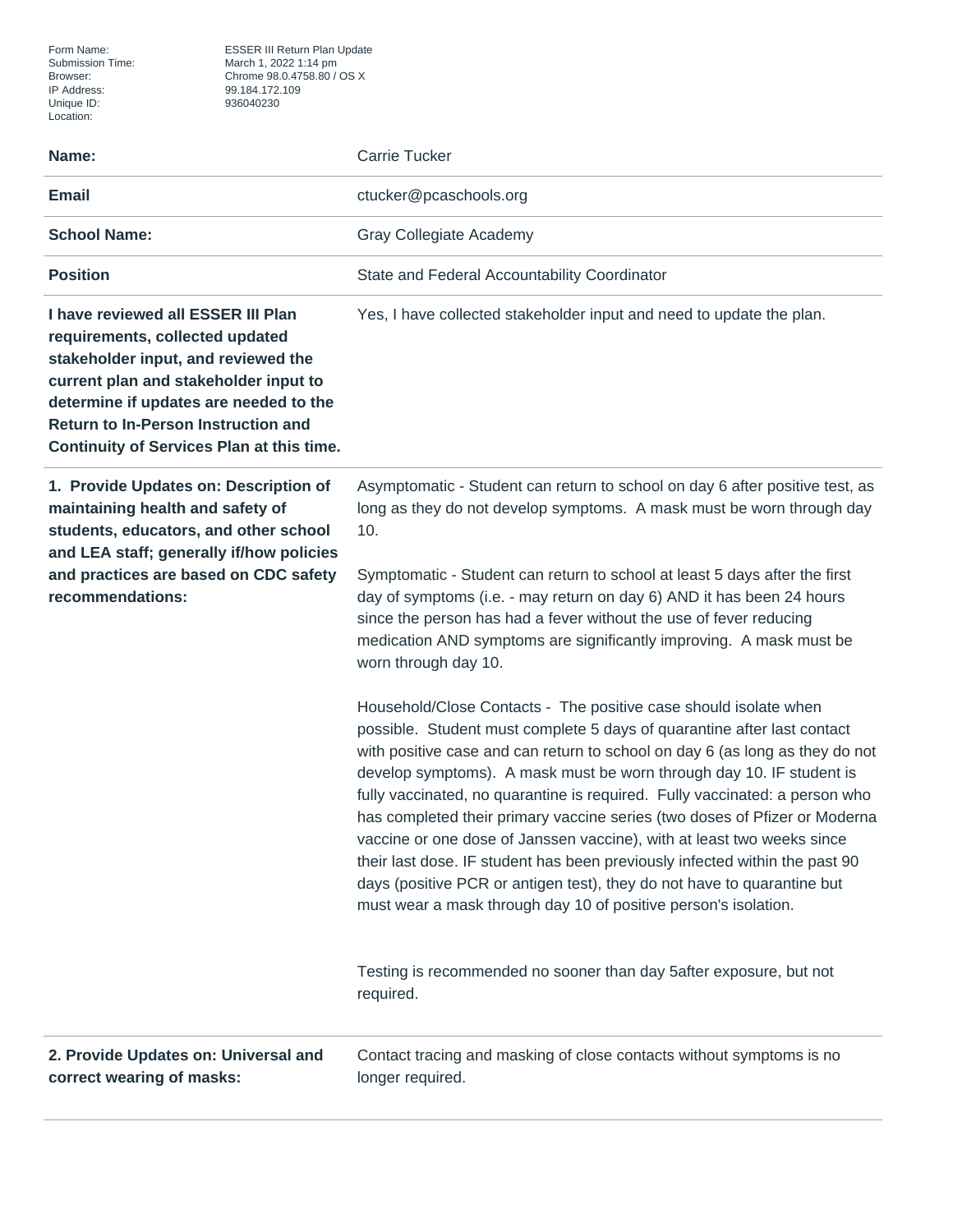Form Name: ESSER III Return Plan Update<br>Submission Time: March 1, 2022 1:14 pm Submission Time: March 1, 2022 1:14 pm Browser: Chrome 98.0.4758.80 / OS X

| Name:                                                                                                                                                                                                                                                                                      | <b>Carrie Tucker</b>                                                                                                                                                                                                                                                                                                                                                                                                                                                                                                                                                                                                                                                                                                                                                    |
|--------------------------------------------------------------------------------------------------------------------------------------------------------------------------------------------------------------------------------------------------------------------------------------------|-------------------------------------------------------------------------------------------------------------------------------------------------------------------------------------------------------------------------------------------------------------------------------------------------------------------------------------------------------------------------------------------------------------------------------------------------------------------------------------------------------------------------------------------------------------------------------------------------------------------------------------------------------------------------------------------------------------------------------------------------------------------------|
| <b>Email</b>                                                                                                                                                                                                                                                                               | ctucker@pcaschools.org                                                                                                                                                                                                                                                                                                                                                                                                                                                                                                                                                                                                                                                                                                                                                  |
| <b>School Name:</b>                                                                                                                                                                                                                                                                        | Gray Collegiate Academy                                                                                                                                                                                                                                                                                                                                                                                                                                                                                                                                                                                                                                                                                                                                                 |
| <b>Position</b>                                                                                                                                                                                                                                                                            | State and Federal Accountability Coordinator                                                                                                                                                                                                                                                                                                                                                                                                                                                                                                                                                                                                                                                                                                                            |
| I have reviewed all ESSER III Plan<br>requirements, collected updated<br>stakeholder input, and reviewed the<br>current plan and stakeholder input to<br>determine if updates are needed to the<br><b>Return to In-Person Instruction and</b><br>Continuity of Services Plan at this time. | Yes, I have collected stakeholder input and need to update the plan.                                                                                                                                                                                                                                                                                                                                                                                                                                                                                                                                                                                                                                                                                                    |
| 1. Provide Updates on: Description of<br>maintaining health and safety of<br>students, educators, and other school<br>and LEA staff; generally if/how policies<br>and practices are based on CDC safety<br>recommendations:                                                                | Asymptomatic - Student can return to school on day 6 after positive test, as<br>long as they do not develop symptoms. A mask must be worn through day<br>10.                                                                                                                                                                                                                                                                                                                                                                                                                                                                                                                                                                                                            |
|                                                                                                                                                                                                                                                                                            | Symptomatic - Student can return to school at least 5 days after the first<br>day of symptoms (i.e. - may return on day 6) AND it has been 24 hours<br>since the person has had a fever without the use of fever reducing<br>medication AND symptoms are significantly improving. A mask must be<br>worn through day 10.                                                                                                                                                                                                                                                                                                                                                                                                                                                |
|                                                                                                                                                                                                                                                                                            | Household/Close Contacts - The positive case should isolate when<br>possible. Student must complete 5 days of quarantine after last contact<br>with positive case and can return to school on day 6 (as long as they do not<br>develop symptoms). A mask must be worn through day 10. IF student is<br>fully vaccinated, no quarantine is required. Fully vaccinated: a person who<br>has completed their primary vaccine series (two doses of Pfizer or Moderna<br>vaccine or one dose of Janssen vaccine), with at least two weeks since<br>their last dose. IF student has been previously infected within the past 90<br>days (positive PCR or antigen test), they do not have to quarantine but<br>must wear a mask through day 10 of positive person's isolation. |
|                                                                                                                                                                                                                                                                                            | Testing is recommended no sooner than day 5after exposure, but not<br>required.                                                                                                                                                                                                                                                                                                                                                                                                                                                                                                                                                                                                                                                                                         |
| 2. Provide Updates on: Universal and<br>correct wearing of masks:                                                                                                                                                                                                                          | Contact tracing and masking of close contacts without symptoms is no<br>longer required.                                                                                                                                                                                                                                                                                                                                                                                                                                                                                                                                                                                                                                                                                |